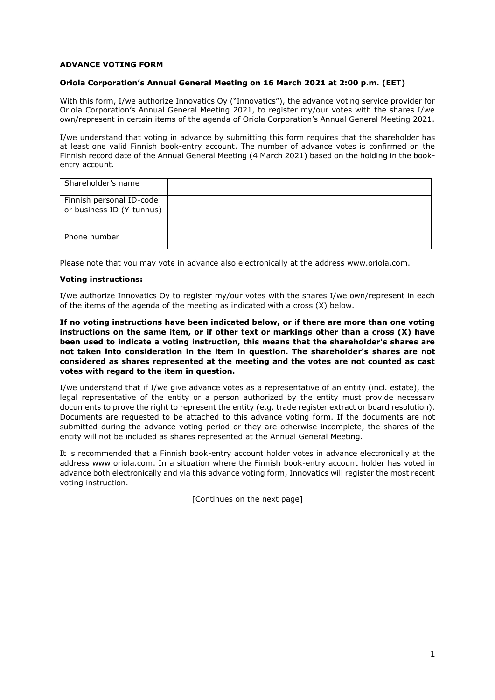# **ADVANCE VOTING FORM**

### **Oriola Corporation's Annual General Meeting on 16 March 2021 at 2:00 p.m. (EET)**

With this form, I/we authorize Innovatics Oy ("Innovatics"), the advance voting service provider for Oriola Corporation's Annual General Meeting 2021, to register my/our votes with the shares I/we own/represent in certain items of the agenda of Oriola Corporation's Annual General Meeting 2021.

I/we understand that voting in advance by submitting this form requires that the shareholder has at least one valid Finnish book-entry account. The number of advance votes is confirmed on the Finnish record date of the Annual General Meeting (4 March 2021) based on the holding in the bookentry account.

| Shareholder's name                                    |  |
|-------------------------------------------------------|--|
| Finnish personal ID-code<br>or business ID (Y-tunnus) |  |
| Phone number                                          |  |

Please note that you may vote in advance also electronically at the address www.oriola.com.

### **Voting instructions:**

I/we authorize Innovatics Oy to register my/our votes with the shares I/we own/represent in each of the items of the agenda of the meeting as indicated with a cross (X) below.

**If no voting instructions have been indicated below, or if there are more than one voting instructions on the same item, or if other text or markings other than a cross (X) have been used to indicate a voting instruction, this means that the shareholder's shares are not taken into consideration in the item in question. The shareholder's shares are not considered as shares represented at the meeting and the votes are not counted as cast votes with regard to the item in question.** 

I/we understand that if I/we give advance votes as a representative of an entity (incl. estate), the legal representative of the entity or a person authorized by the entity must provide necessary documents to prove the right to represent the entity (e.g. trade register extract or board resolution). Documents are requested to be attached to this advance voting form. If the documents are not submitted during the advance voting period or they are otherwise incomplete, the shares of the entity will not be included as shares represented at the Annual General Meeting.

It is recommended that a Finnish book-entry account holder votes in advance electronically at the address www.oriola.com. In a situation where the Finnish book-entry account holder has voted in advance both electronically and via this advance voting form, Innovatics will register the most recent voting instruction.

[Continues on the next page]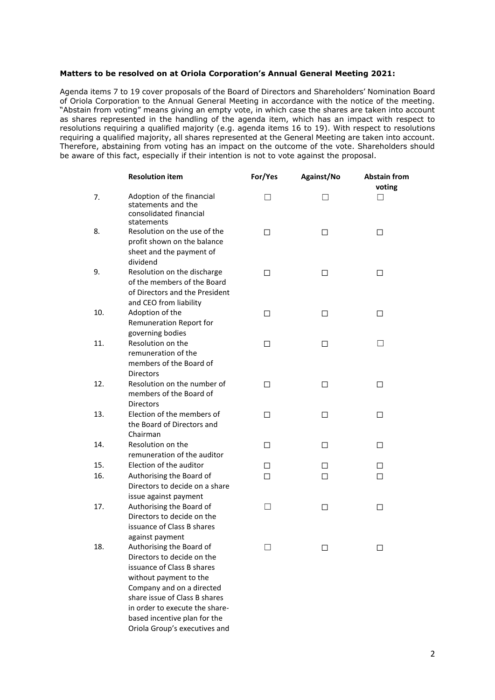#### **Matters to be resolved on at Oriola Corporation's Annual General Meeting 2021:**

Agenda items 7 to 19 cover proposals of the Board of Directors and Shareholders' Nomination Board of Oriola Corporation to the Annual General Meeting in accordance with the notice of the meeting. "Abstain from voting" means giving an empty vote, in which case the shares are taken into account as shares represented in the handling of the agenda item, which has an impact with respect to resolutions requiring a qualified majority (e.g. agenda items 16 to 19). With respect to resolutions requiring a qualified majority, all shares represented at the General Meeting are taken into account. Therefore, abstaining from voting has an impact on the outcome of the vote. Shareholders should be aware of this fact, especially if their intention is not to vote against the proposal.

|     | <b>Resolution item</b>                                                                                                                                                                                                                         | For/Yes | Against/No   | <b>Abstain from</b> |
|-----|------------------------------------------------------------------------------------------------------------------------------------------------------------------------------------------------------------------------------------------------|---------|--------------|---------------------|
| 7.  | Adoption of the financial<br>statements and the<br>consolidated financial<br>statements                                                                                                                                                        | П       | П            | voting<br>П         |
| 8.  | Resolution on the use of the<br>profit shown on the balance<br>sheet and the payment of<br>dividend                                                                                                                                            | П       | □            | □                   |
| 9.  | Resolution on the discharge<br>of the members of the Board<br>of Directors and the President<br>and CEO from liability                                                                                                                         | п       | ⊔            | □                   |
| 10. | Adoption of the<br>Remuneration Report for<br>governing bodies                                                                                                                                                                                 | п       | $\mathsf{L}$ | П                   |
| 11. | Resolution on the<br>remuneration of the<br>members of the Board of<br><b>Directors</b>                                                                                                                                                        | П       | □            |                     |
| 12. | Resolution on the number of<br>members of the Board of<br><b>Directors</b>                                                                                                                                                                     | П       | П            | □                   |
| 13. | Election of the members of<br>the Board of Directors and<br>Chairman                                                                                                                                                                           | П       | П            | П                   |
| 14. | Resolution on the<br>remuneration of the auditor                                                                                                                                                                                               | П       | □            | П                   |
| 15. | Election of the auditor                                                                                                                                                                                                                        | п       | □            | П                   |
| 16. | Authorising the Board of<br>Directors to decide on a share<br>issue against payment                                                                                                                                                            | п       | П            | п                   |
| 17. | Authorising the Board of<br>Directors to decide on the<br>issuance of Class B shares<br>against payment                                                                                                                                        | П       | $\mathsf{L}$ | П                   |
| 18. | Authorising the Board of<br>Directors to decide on the<br>issuance of Class B shares<br>without payment to the<br>Company and on a directed<br>share issue of Class B shares<br>in order to execute the share-<br>based incentive plan for the |         |              |                     |

Oriola Group's executives and